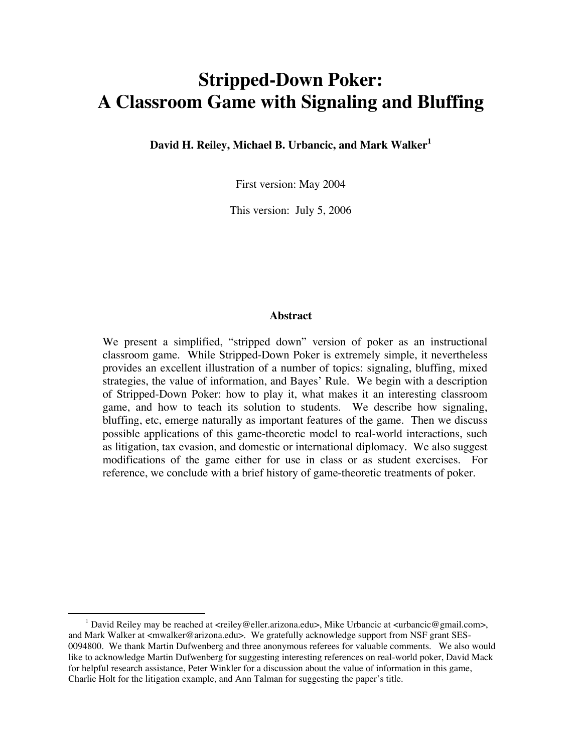# **Stripped-Down Poker: A Classroom Game with Signaling and Bluffing**

**David H. Reiley, Michael B. Urbancic, and Mark Walker1**

First version: May 2004

This version: July 5, 2006

### **Abstract**

We present a simplified, "stripped down" version of poker as an instructional classroom game. While Stripped-Down Poker is extremely simple, it nevertheless provides an excellent illustration of a number of topics: signaling, bluffing, mixed strategies, the value of information, and Bayes' Rule. We begin with a description of Stripped-Down Poker: how to play it, what makes it an interesting classroom game, and how to teach its solution to students. We describe how signaling, bluffing, etc, emerge naturally as important features of the game. Then we discuss possible applications of this game-theoretic model to real-world interactions, such as litigation, tax evasion, and domestic or international diplomacy. We also suggest modifications of the game either for use in class or as student exercises. For reference, we conclude with a brief history of game-theoretic treatments of poker.

<sup>&</sup>lt;sup>1</sup> David Reiley may be reached at <reiley@eller.arizona.edu>, Mike Urbancic at <urbancic@gmail.com>, and Mark Walker at <mwalker@arizona.edu>. We gratefully acknowledge support from NSF grant SES-0094800. We thank Martin Dufwenberg and three anonymous referees for valuable comments. We also would like to acknowledge Martin Dufwenberg for suggesting interesting references on real-world poker, David Mack for helpful research assistance, Peter Winkler for a discussion about the value of information in this game, Charlie Holt for the litigation example, and Ann Talman for suggesting the paper's title.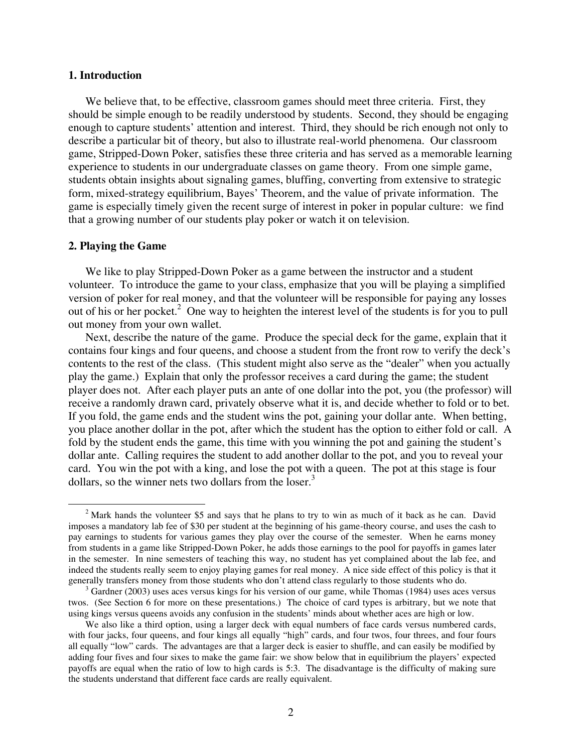#### **1. Introduction**

We believe that, to be effective, classroom games should meet three criteria. First, they should be simple enough to be readily understood by students. Second, they should be engaging enough to capture students' attention and interest. Third, they should be rich enough not only to describe a particular bit of theory, but also to illustrate real-world phenomena. Our classroom game, Stripped-Down Poker, satisfies these three criteria and has served as a memorable learning experience to students in our undergraduate classes on game theory. From one simple game, students obtain insights about signaling games, bluffing, converting from extensive to strategic form, mixed-strategy equilibrium, Bayes' Theorem, and the value of private information. The game is especially timely given the recent surge of interest in poker in popular culture: we find that a growing number of our students play poker or watch it on television.

#### **2. Playing the Game**

We like to play Stripped-Down Poker as a game between the instructor and a student volunteer. To introduce the game to your class, emphasize that you will be playing a simplified version of poker for real money, and that the volunteer will be responsible for paying any losses out of his or her pocket.<sup>2</sup> One way to heighten the interest level of the students is for you to pull out money from your own wallet.

Next, describe the nature of the game. Produce the special deck for the game, explain that it contains four kings and four queens, and choose a student from the front row to verify the deck's contents to the rest of the class. (This student might also serve as the "dealer" when you actually play the game.) Explain that only the professor receives a card during the game; the student player does not. After each player puts an ante of one dollar into the pot, you (the professor) will receive a randomly drawn card, privately observe what it is, and decide whether to fold or to bet. If you fold, the game ends and the student wins the pot, gaining your dollar ante. When betting, you place another dollar in the pot, after which the student has the option to either fold or call. A fold by the student ends the game, this time with you winning the pot and gaining the student's dollar ante. Calling requires the student to add another dollar to the pot, and you to reveal your card. You win the pot with a king, and lose the pot with a queen. The pot at this stage is four dollars, so the winner nets two dollars from the loser. $3$ 

 $2$  Mark hands the volunteer \$5 and says that he plans to try to win as much of it back as he can. David imposes a mandatory lab fee of \$30 per student at the beginning of his game-theory course, and uses the cash to pay earnings to students for various games they play over the course of the semester. When he earns money from students in a game like Stripped-Down Poker, he adds those earnings to the pool for payoffs in games later in the semester. In nine semesters of teaching this way, no student has yet complained about the lab fee, and indeed the students really seem to enjoy playing games for real money. A nice side effect of this policy is that it generally transfers money from those students who don't attend class regularly to those students who do.

 $3$  Gardner (2003) uses aces versus kings for his version of our game, while Thomas (1984) uses aces versus twos. (See Section 6 for more on these presentations.) The choice of card types is arbitrary, but we note that using kings versus queens avoids any confusion in the students' minds about whether aces are high or low.

We also like a third option, using a larger deck with equal numbers of face cards versus numbered cards, with four jacks, four queens, and four kings all equally "high" cards, and four twos, four threes, and four fours all equally "low" cards. The advantages are that a larger deck is easier to shuffle, and can easily be modified by adding four fives and four sixes to make the game fair: we show below that in equilibrium the players' expected payoffs are equal when the ratio of low to high cards is 5:3. The disadvantage is the difficulty of making sure the students understand that different face cards are really equivalent.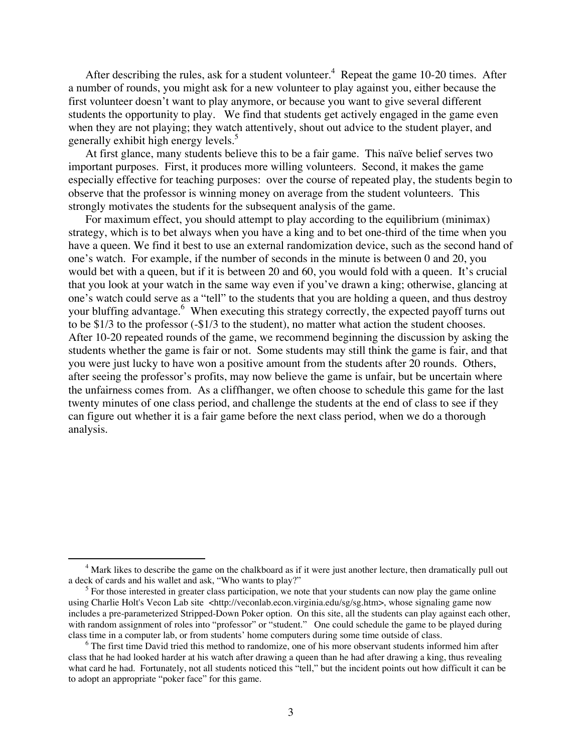After describing the rules, ask for a student volunteer.<sup>4</sup> Repeat the game 10-20 times. After a number of rounds, you might ask for a new volunteer to play against you, either because the first volunteer doesn't want to play anymore, or because you want to give several different students the opportunity to play. We find that students get actively engaged in the game even when they are not playing; they watch attentively, shout out advice to the student player, and generally exhibit high energy levels.<sup>5</sup>

At first glance, many students believe this to be a fair game. This naïve belief serves two important purposes. First, it produces more willing volunteers. Second, it makes the game especially effective for teaching purposes: over the course of repeated play, the students begin to observe that the professor is winning money on average from the student volunteers. This strongly motivates the students for the subsequent analysis of the game.

For maximum effect, you should attempt to play according to the equilibrium (minimax) strategy, which is to bet always when you have a king and to bet one-third of the time when you have a queen. We find it best to use an external randomization device, such as the second hand of one's watch. For example, if the number of seconds in the minute is between 0 and 20, you would bet with a queen, but if it is between 20 and 60, you would fold with a queen. It's crucial that you look at your watch in the same way even if you've drawn a king; otherwise, glancing at one's watch could serve as a "tell" to the students that you are holding a queen, and thus destroy your bluffing advantage.<sup>6</sup> When executing this strategy correctly, the expected payoff turns out to be \$1/3 to the professor (-\$1/3 to the student), no matter what action the student chooses. After 10-20 repeated rounds of the game, we recommend beginning the discussion by asking the students whether the game is fair or not. Some students may still think the game is fair, and that you were just lucky to have won a positive amount from the students after 20 rounds. Others, after seeing the professor's profits, may now believe the game is unfair, but be uncertain where the unfairness comes from. As a cliffhanger, we often choose to schedule this game for the last twenty minutes of one class period, and challenge the students at the end of class to see if they can figure out whether it is a fair game before the next class period, when we do a thorough analysis.

 $4$  Mark likes to describe the game on the chalkboard as if it were just another lecture, then dramatically pull out a deck of cards and his wallet and ask, "Who wants to play?"

 $<sup>5</sup>$  For those interested in greater class participation, we note that your students can now play the game online</sup> using Charlie Holt's Vecon Lab site <http://veconlab.econ.virginia.edu/sg/sg.htm>, whose signaling game now includes a pre-parameterized Stripped-Down Poker option. On this site, all the students can play against each other, with random assignment of roles into "professor" or "student." One could schedule the game to be played during class time in <sup>a</sup> computer lab, or from students' home computers during some time outside of class. <sup>6</sup> The first time David tried this method to randomize, one of his more observant students informed him after

class that he had looked harder at his watch after drawing a queen than he had after drawing a king, thus revealing what card he had. Fortunately, not all students noticed this "tell," but the incident points out how difficult it can be to adopt an appropriate "poker face" for this game.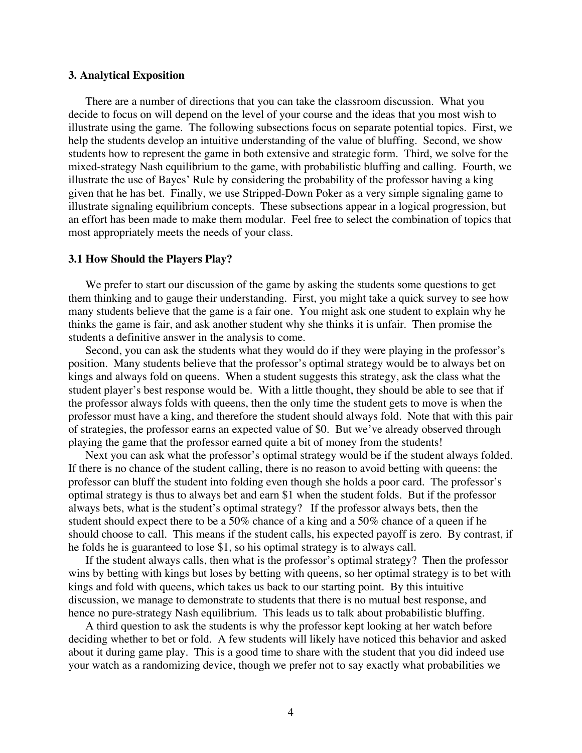#### **3. Analytical Exposition**

There are a number of directions that you can take the classroom discussion. What you decide to focus on will depend on the level of your course and the ideas that you most wish to illustrate using the game. The following subsections focus on separate potential topics. First, we help the students develop an intuitive understanding of the value of bluffing. Second, we show students how to represent the game in both extensive and strategic form. Third, we solve for the mixed-strategy Nash equilibrium to the game, with probabilistic bluffing and calling. Fourth, we illustrate the use of Bayes' Rule by considering the probability of the professor having a king given that he has bet. Finally, we use Stripped-Down Poker as a very simple signaling game to illustrate signaling equilibrium concepts. These subsections appear in a logical progression, but an effort has been made to make them modular. Feel free to select the combination of topics that most appropriately meets the needs of your class.

#### **3.1 How Should the Players Play?**

We prefer to start our discussion of the game by asking the students some questions to get them thinking and to gauge their understanding. First, you might take a quick survey to see how many students believe that the game is a fair one. You might ask one student to explain why he thinks the game is fair, and ask another student why she thinks it is unfair. Then promise the students a definitive answer in the analysis to come.

Second, you can ask the students what they would do if they were playing in the professor's position. Many students believe that the professor's optimal strategy would be to always bet on kings and always fold on queens. When a student suggests this strategy, ask the class what the student player's best response would be. With a little thought, they should be able to see that if the professor always folds with queens, then the only time the student gets to move is when the professor must have a king, and therefore the student should always fold. Note that with this pair of strategies, the professor earns an expected value of \$0. But we've already observed through playing the game that the professor earned quite a bit of money from the students!

Next you can ask what the professor's optimal strategy would be if the student always folded. If there is no chance of the student calling, there is no reason to avoid betting with queens: the professor can bluff the student into folding even though she holds a poor card. The professor's optimal strategy is thus to always bet and earn \$1 when the student folds. But if the professor always bets, what is the student's optimal strategy? If the professor always bets, then the student should expect there to be a 50% chance of a king and a 50% chance of a queen if he should choose to call. This means if the student calls, his expected payoff is zero. By contrast, if he folds he is guaranteed to lose \$1, so his optimal strategy is to always call.

If the student always calls, then what is the professor's optimal strategy? Then the professor wins by betting with kings but loses by betting with queens, so her optimal strategy is to bet with kings and fold with queens, which takes us back to our starting point. By this intuitive discussion, we manage to demonstrate to students that there is no mutual best response, and hence no pure-strategy Nash equilibrium. This leads us to talk about probabilistic bluffing.

A third question to ask the students is why the professor kept looking at her watch before deciding whether to bet or fold. A few students will likely have noticed this behavior and asked about it during game play. This is a good time to share with the student that you did indeed use your watch as a randomizing device, though we prefer not to say exactly what probabilities we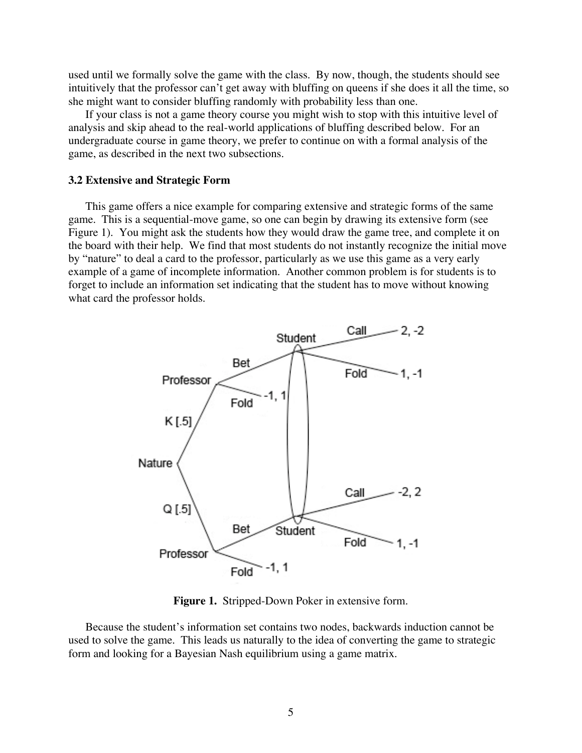used until we formally solve the game with the class. By now, though, the students should see intuitively that the professor can't get away with bluffing on queens if she does it all the time, so she might want to consider bluffing randomly with probability less than one.

If your class is not a game theory course you might wish to stop with this intuitive level of analysis and skip ahead to the real-world applications of bluffing described below. For an undergraduate course in game theory, we prefer to continue on with a formal analysis of the game, as described in the next two subsections.

#### **3.2 Extensive and Strategic Form**

This game offers a nice example for comparing extensive and strategic forms of the same game. This is a sequential-move game, so one can begin by drawing its extensive form (see Figure 1). You might ask the students how they would draw the game tree, and complete it on the board with their help. We find that most students do not instantly recognize the initial move by "nature" to deal a card to the professor, particularly as we use this game as a very early example of a game of incomplete information. Another common problem is for students is to forget to include an information set indicating that the student has to move without knowing what card the professor holds.



**Figure 1.** Stripped-Down Poker in extensive form.

Because the student's information set contains two nodes, backwards induction cannot be used to solve the game. This leads us naturally to the idea of converting the game to strategic form and looking for a Bayesian Nash equilibrium using a game matrix.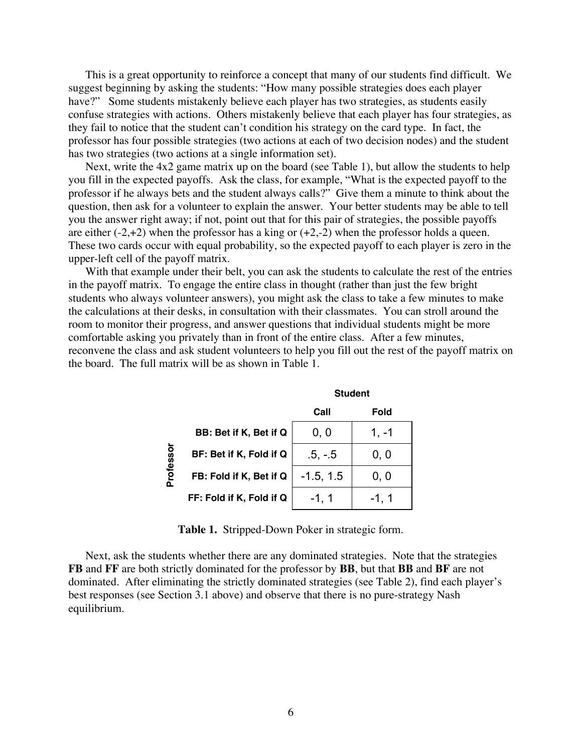This is a great opportunity to reinforce a concept that many of our students find difficult. We suggest beginning by asking the students: "How many possible strategies does each player have?" Some students mistakenly believe each player has two strategies, as students easily confuse strategies with actions. Others mistakenly believe that each player has four strategies, as they fail to notice that the student can't condition his strategy on the card type. In fact, the professor has four possible strategies (two actions at each of two decision nodes) and the student has two strategies (two actions at a single information set).

Next, write the 4x2 game matrix up on the board (see Table 1), but allow the students to help you fill in the expected payoffs. Ask the class, for example, "What is the expected payoff to the professor if he always bets and the student always calls?" Give them a minute to think about the question, then ask for a volunteer to explain the answer. Your better students may be able to tell you the answer right away; if not, point out that for this pair of strategies, the possible payoffs are either  $(-2, +2)$  when the professor has a king or  $(+2, -2)$  when the professor holds a queen. These two cards occur with equal probability, so the expected payoff to each player is zero in the upper-left cell of the payoff matrix.

With that example under their belt, you can ask the students to calculate the rest of the entries in the payoff matrix. To engage the entire class in thought (rather than just the few bright students who always volunteer answers), you might ask the class to take a few minutes to make the calculations at their desks, in consultation with their classmates. You can stroll around the room to monitor their progress, and answer questions that individual students might be more comfortable asking you privately than in front of the entire class. After a few minutes, reconvene the class and ask student volunteers to help you fill out the rest of the payoff matrix on the board. The full matrix will be as shown in Table 1.

|           |                          | <b>Student</b> |         |
|-----------|--------------------------|----------------|---------|
|           |                          | Call           | Fold    |
|           | BB: Bet if K, Bet if Q   | 0, 0           | $1, -1$ |
|           | BF: Bet if K, Fold if Q  | $.5, -.5$      | 0, 0    |
| Professor | FB: Fold if K, Bet if Q  | $-1.5, 1.5$    | 0, 0    |
|           | FF: Fold if K, Fold if Q | $-1, 1$        | $-1, 1$ |

**Table 1.** Stripped-Down Poker in strategic form.

Next, ask the students whether there are any dominated strategies. Note that the strategies **FB** and **FF** are both strictly dominated for the professor by **BB**, but that **BB** and **BF** are not dominated. After eliminating the strictly dominated strategies (see Table 2), find each player's best responses (see Section 3.1 above) and observe that there is no pure-strategy Nash equilibrium.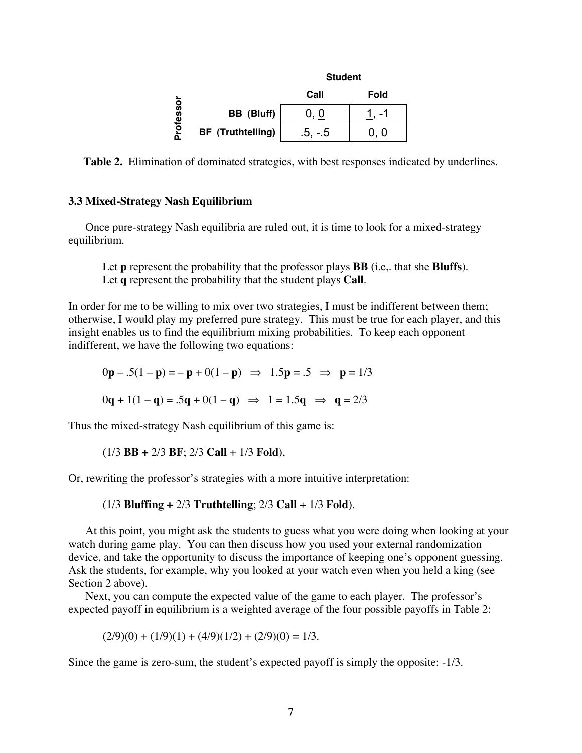| ğ             |                          | Call           | <b>Fold</b> |
|---------------|--------------------------|----------------|-------------|
|               | BB (Bluff)               |                |             |
| <b>Profes</b> | <b>BF</b> (Truthtelling) | <u>.5,</u> -.5 |             |

**Student**

**Table 2.** Elimination of dominated strategies, with best responses indicated by underlines.

## **3.3 Mixed-Strategy Nash Equilibrium**

Once pure-strategy Nash equilibria are ruled out, it is time to look for a mixed-strategy equilibrium.

Let **p** represent the probability that the professor plays **BB** (i.e,. that she **Bluffs**). Let **q** represent the probability that the student plays **Call**.

In order for me to be willing to mix over two strategies, I must be indifferent between them; otherwise, I would play my preferred pure strategy. This must be true for each player, and this insight enables us to find the equilibrium mixing probabilities. To keep each opponent indifferent, we have the following two equations:

 $0\mathbf{p} - .5(1 - \mathbf{p}) = -\mathbf{p} + 0(1 - \mathbf{p}) \Rightarrow 1.5\mathbf{p} = .5 \Rightarrow \mathbf{p} = 1/3$ 

0**q** + 1(1 – **q**) = .5**q** + 0(1 – **q**) ⇒ 1 = 1.5**q** ⇒ **q** = 2/3

Thus the mixed-strategy Nash equilibrium of this game is:

(1/3 **BB +** 2/3 **BF**; 2/3 **Call** + 1/3 **Fold**),

Or, rewriting the professor's strategies with a more intuitive interpretation:

(1/3 **Bluffing +** 2/3 **Truthtelling**; 2/3 **Call** + 1/3 **Fold**).

At this point, you might ask the students to guess what you were doing when looking at your watch during game play. You can then discuss how you used your external randomization device, and take the opportunity to discuss the importance of keeping one's opponent guessing. Ask the students, for example, why you looked at your watch even when you held a king (see Section 2 above).

Next, you can compute the expected value of the game to each player. The professor's expected payoff in equilibrium is a weighted average of the four possible payoffs in Table 2:

 $(2/9)(0) + (1/9)(1) + (4/9)(1/2) + (2/9)(0) = 1/3.$ 

Since the game is zero-sum, the student's expected payoff is simply the opposite: -1/3.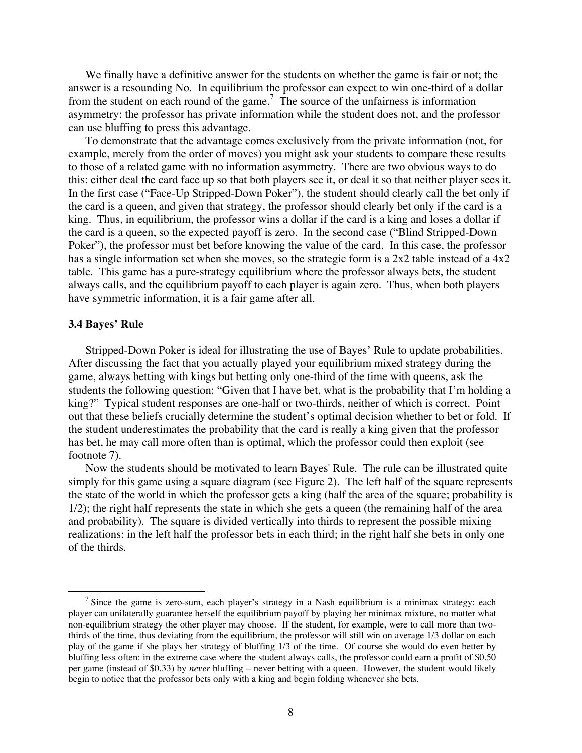We finally have a definitive answer for the students on whether the game is fair or not; the answer is a resounding No. In equilibrium the professor can expect to win one-third of a dollar from the student on each round of the game.<sup>7</sup> The source of the unfairness is information asymmetry: the professor has private information while the student does not, and the professor can use bluffing to press this advantage.

To demonstrate that the advantage comes exclusively from the private information (not, for example, merely from the order of moves) you might ask your students to compare these results to those of a related game with no information asymmetry. There are two obvious ways to do this: either deal the card face up so that both players see it, or deal it so that neither player sees it. In the first case ("Face-Up Stripped-Down Poker"), the student should clearly call the bet only if the card is a queen, and given that strategy, the professor should clearly bet only if the card is a king. Thus, in equilibrium, the professor wins a dollar if the card is a king and loses a dollar if the card is a queen, so the expected payoff is zero. In the second case ("Blind Stripped-Down Poker"), the professor must bet before knowing the value of the card. In this case, the professor has a single information set when she moves, so the strategic form is a 2x2 table instead of a 4x2 table. This game has a pure-strategy equilibrium where the professor always bets, the student always calls, and the equilibrium payoff to each player is again zero. Thus, when both players have symmetric information, it is a fair game after all.

## **3.4 Bayes' Rule**

Stripped-Down Poker is ideal for illustrating the use of Bayes' Rule to update probabilities. After discussing the fact that you actually played your equilibrium mixed strategy during the game, always betting with kings but betting only one-third of the time with queens, ask the students the following question: "Given that I have bet, what is the probability that I'm holding a king?" Typical student responses are one-half or two-thirds, neither of which is correct. Point out that these beliefs crucially determine the student's optimal decision whether to bet or fold. If the student underestimates the probability that the card is really a king given that the professor has bet, he may call more often than is optimal, which the professor could then exploit (see footnote 7).

Now the students should be motivated to learn Bayes' Rule. The rule can be illustrated quite simply for this game using a square diagram (see Figure 2). The left half of the square represents the state of the world in which the professor gets a king (half the area of the square; probability is 1/2); the right half represents the state in which she gets a queen (the remaining half of the area and probability). The square is divided vertically into thirds to represent the possible mixing realizations: in the left half the professor bets in each third; in the right half she bets in only one of the thirds.

 $7$  Since the game is zero-sum, each player's strategy in a Nash equilibrium is a minimax strategy: each player can unilaterally guarantee herself the equilibrium payoff by playing her minimax mixture, no matter what non-equilibrium strategy the other player may choose. If the student, for example, were to call more than twothirds of the time, thus deviating from the equilibrium, the professor will still win on average 1/3 dollar on each play of the game if she plays her strategy of bluffing 1/3 of the time. Of course she would do even better by bluffing less often: in the extreme case where the student always calls, the professor could earn a profit of \$0.50 per game (instead of \$0.33) by *never* bluffing – never betting with a queen. However, the student would likely begin to notice that the professor bets only with a king and begin folding whenever she bets.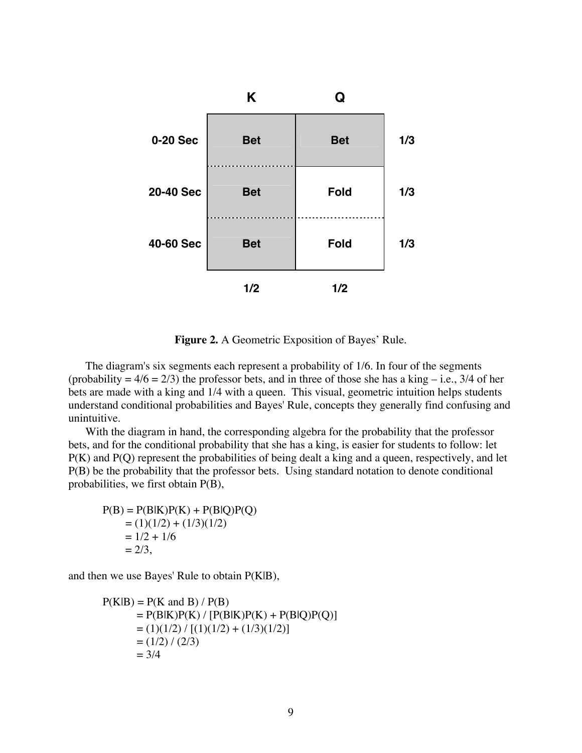

**Figure 2.** A Geometric Exposition of Bayes' Rule.

The diagram's six segments each represent a probability of 1/6. In four of the segments (probability =  $4/6 = 2/3$ ) the professor bets, and in three of those she has a king – i.e., 3/4 of her bets are made with a king and 1/4 with a queen. This visual, geometric intuition helps students understand conditional probabilities and Bayes' Rule, concepts they generally find confusing and unintuitive.

With the diagram in hand, the corresponding algebra for the probability that the professor bets, and for the conditional probability that she has a king, is easier for students to follow: let P(K) and P(Q) represent the probabilities of being dealt a king and a queen, respectively, and let P(B) be the probability that the professor bets. Using standard notation to denote conditional probabilities, we first obtain P(B),

$$
P(B) = P(B|K)P(K) + P(B|Q)P(Q)
$$
  
= (1)(1/2) + (1/3)(1/2)  
= 1/2 + 1/6  
= 2/3,

and then we use Bayes' Rule to obtain P(K|B),

$$
P(K|B) = P(K \text{ and } B) / P(B)
$$
  
= P(B|K)P(K) / [P(B|K)P(K) + P(B|Q)P(Q)]  
= (1)(1/2) / [(1)(1/2) + (1/3)(1/2)]  
= (1/2) / (2/3)  
= 3/4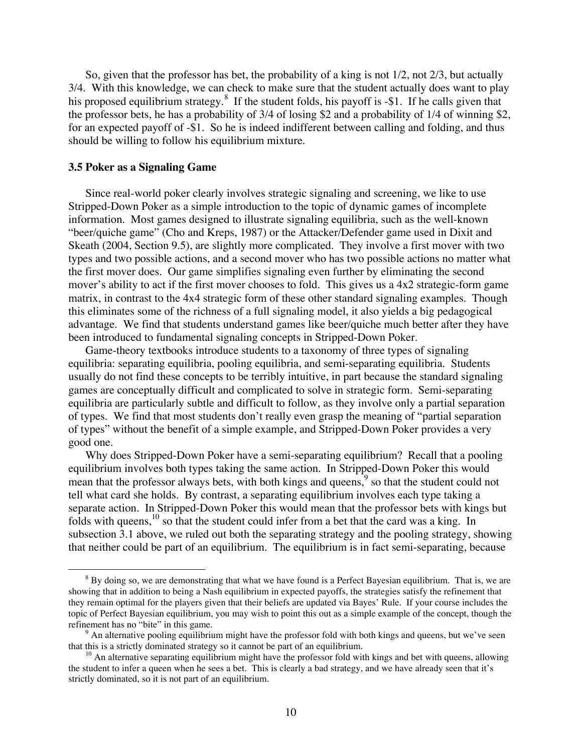So, given that the professor has bet, the probability of a king is not 1/2, not 2/3, but actually 3/4. With this knowledge, we can check to make sure that the student actually does want to play his proposed equilibrium strategy.<sup>8</sup> If the student folds, his payoff is -\$1. If he calls given that the professor bets, he has a probability of 3/4 of losing \$2 and a probability of 1/4 of winning \$2, for an expected payoff of -\$1. So he is indeed indifferent between calling and folding, and thus should be willing to follow his equilibrium mixture.

## **3.5 Poker as a Signaling Game**

Since real-world poker clearly involves strategic signaling and screening, we like to use Stripped-Down Poker as a simple introduction to the topic of dynamic games of incomplete information. Most games designed to illustrate signaling equilibria, such as the well-known "beer/quiche game" (Cho and Kreps, 1987) or the Attacker/Defender game used in Dixit and Skeath (2004, Section 9.5), are slightly more complicated. They involve a first mover with two types and two possible actions, and a second mover who has two possible actions no matter what the first mover does. Our game simplifies signaling even further by eliminating the second mover's ability to act if the first mover chooses to fold. This gives us a 4x2 strategic-form game matrix, in contrast to the 4x4 strategic form of these other standard signaling examples. Though this eliminates some of the richness of a full signaling model, it also yields a big pedagogical advantage. We find that students understand games like beer/quiche much better after they have been introduced to fundamental signaling concepts in Stripped-Down Poker.

Game-theory textbooks introduce students to a taxonomy of three types of signaling equilibria: separating equilibria, pooling equilibria, and semi-separating equilibria. Students usually do not find these concepts to be terribly intuitive, in part because the standard signaling games are conceptually difficult and complicated to solve in strategic form. Semi-separating equilibria are particularly subtle and difficult to follow, as they involve only a partial separation of types. We find that most students don't really even grasp the meaning of "partial separation of types" without the benefit of a simple example, and Stripped-Down Poker provides a very good one.

Why does Stripped-Down Poker have a semi-separating equilibrium? Recall that a pooling equilibrium involves both types taking the same action. In Stripped-Down Poker this would mean that the professor always bets, with both kings and queens,<sup>9</sup> so that the student could not tell what card she holds. By contrast, a separating equilibrium involves each type taking a separate action. In Stripped-Down Poker this would mean that the professor bets with kings but folds with queens,  $10$  so that the student could infer from a bet that the card was a king. In subsection 3.1 above, we ruled out both the separating strategy and the pooling strategy, showing that neither could be part of an equilibrium. The equilibrium is in fact semi-separating, because

 $8$  By doing so, we are demonstrating that what we have found is a Perfect Bayesian equilibrium. That is, we are showing that in addition to being a Nash equilibrium in expected payoffs, the strategies satisfy the refinement that they remain optimal for the players given that their beliefs are updated via Bayes' Rule. If your course includes the topic of Perfect Bayesian equilibrium, you may wish to point this out as a simple example of the concept, though the refinement has no "bite" in this game.<br><sup>9</sup> An alternative pooling equilibrium might have the professor fold with both kings and queens, but we've seen

that this is a strictly dominated strategy so it cannot be part of an equilibrium.<br><sup>10</sup> An alternative separating equilibrium might have the professor fold with kings and bet with queens, allowing

the student to infer a queen when he sees a bet. This is clearly a bad strategy, and we have already seen that it's strictly dominated, so it is not part of an equilibrium.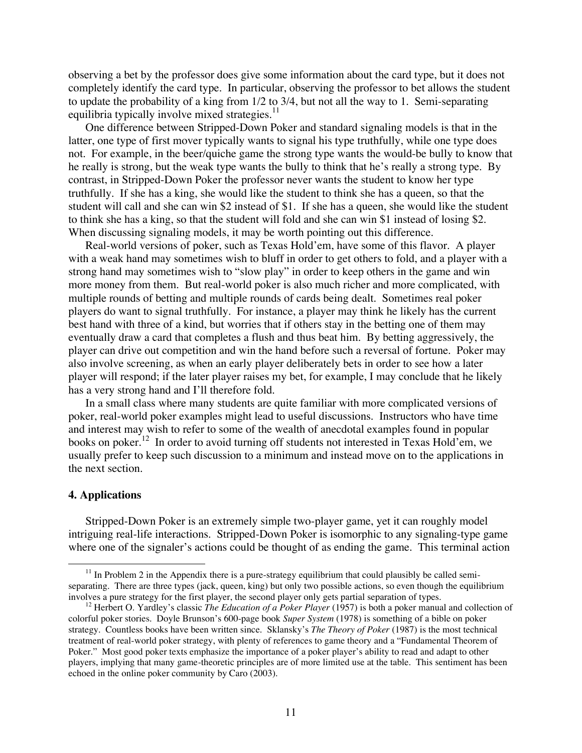observing a bet by the professor does give some information about the card type, but it does not completely identify the card type. In particular, observing the professor to bet allows the student to update the probability of a king from 1/2 to 3/4, but not all the way to 1. Semi-separating equilibria typically involve mixed strategies. $<sup>11</sup>$ </sup>

One difference between Stripped-Down Poker and standard signaling models is that in the latter, one type of first mover typically wants to signal his type truthfully, while one type does not. For example, in the beer/quiche game the strong type wants the would-be bully to know that he really is strong, but the weak type wants the bully to think that he's really a strong type. By contrast, in Stripped-Down Poker the professor never wants the student to know her type truthfully. If she has a king, she would like the student to think she has a queen, so that the student will call and she can win \$2 instead of \$1. If she has a queen, she would like the student to think she has a king, so that the student will fold and she can win \$1 instead of losing \$2. When discussing signaling models, it may be worth pointing out this difference.

Real-world versions of poker, such as Texas Hold'em, have some of this flavor. A player with a weak hand may sometimes wish to bluff in order to get others to fold, and a player with a strong hand may sometimes wish to "slow play" in order to keep others in the game and win more money from them. But real-world poker is also much richer and more complicated, with multiple rounds of betting and multiple rounds of cards being dealt. Sometimes real poker players do want to signal truthfully. For instance, a player may think he likely has the current best hand with three of a kind, but worries that if others stay in the betting one of them may eventually draw a card that completes a flush and thus beat him. By betting aggressively, the player can drive out competition and win the hand before such a reversal of fortune. Poker may also involve screening, as when an early player deliberately bets in order to see how a later player will respond; if the later player raises my bet, for example, I may conclude that he likely has a very strong hand and I'll therefore fold.

In a small class where many students are quite familiar with more complicated versions of poker, real-world poker examples might lead to useful discussions. Instructors who have time and interest may wish to refer to some of the wealth of anecdotal examples found in popular books on poker.<sup>12</sup> In order to avoid turning off students not interested in Texas Hold'em, we usually prefer to keep such discussion to a minimum and instead move on to the applications in the next section.

#### **4. Applications**

Stripped-Down Poker is an extremely simple two-player game, yet it can roughly model intriguing real-life interactions. Stripped-Down Poker is isomorphic to any signaling-type game where one of the signaler's actions could be thought of as ending the game. This terminal action

 $11$  In Problem 2 in the Appendix there is a pure-strategy equilibrium that could plausibly be called semiseparating. There are three types (jack, queen, king) but only two possible actions, so even though the equilibrium involves a pure strategy for the first player, the second player only gets partial separation of types.

<sup>&</sup>lt;sup>12</sup> Herbert O. Yardley's classic *The Education of a Poker Player* (1957) is both a poker manual and collection of colorful poker stories. Doyle Brunson's 600-page book *Super System* (1978) is something of a bible on poker strategy. Countless books have been written since. Sklansky's *The Theory of Poker* (1987) is the most technical treatment of real-world poker strategy, with plenty of references to game theory and a "Fundamental Theorem of Poker." Most good poker texts emphasize the importance of a poker player's ability to read and adapt to other players, implying that many game-theoretic principles are of more limited use at the table. This sentiment has been echoed in the online poker community by Caro (2003).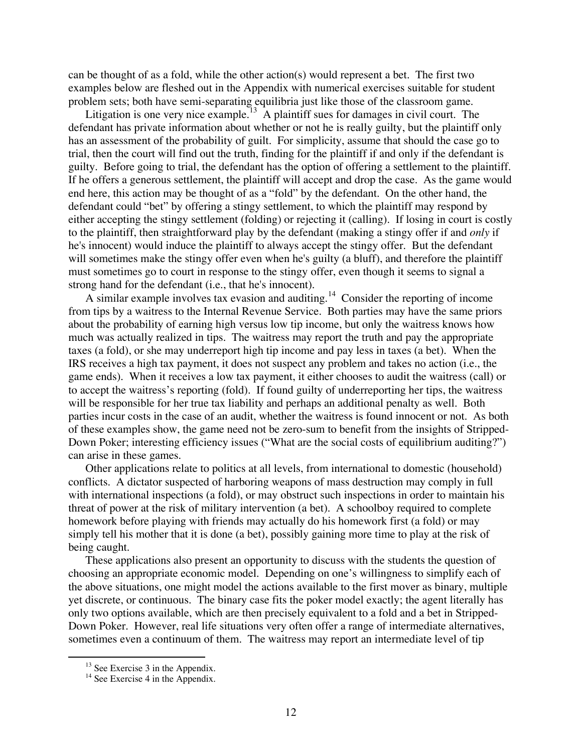can be thought of as a fold, while the other action(s) would represent a bet. The first two examples below are fleshed out in the Appendix with numerical exercises suitable for student problem sets; both have semi-separating equilibria just like those of the classroom game.

Litigation is one very nice example.<sup>13</sup> A plaintiff sues for damages in civil court. The defendant has private information about whether or not he is really guilty, but the plaintiff only has an assessment of the probability of guilt. For simplicity, assume that should the case go to trial, then the court will find out the truth, finding for the plaintiff if and only if the defendant is guilty. Before going to trial, the defendant has the option of offering a settlement to the plaintiff. If he offers a generous settlement, the plaintiff will accept and drop the case. As the game would end here, this action may be thought of as a "fold" by the defendant. On the other hand, the defendant could "bet" by offering a stingy settlement, to which the plaintiff may respond by either accepting the stingy settlement (folding) or rejecting it (calling). If losing in court is costly to the plaintiff, then straightforward play by the defendant (making a stingy offer if and *only* if he's innocent) would induce the plaintiff to always accept the stingy offer. But the defendant will sometimes make the stingy offer even when he's guilty (a bluff), and therefore the plaintiff must sometimes go to court in response to the stingy offer, even though it seems to signal a strong hand for the defendant (i.e., that he's innocent).

A similar example involves tax evasion and auditing.<sup>14</sup> Consider the reporting of income from tips by a waitress to the Internal Revenue Service. Both parties may have the same priors about the probability of earning high versus low tip income, but only the waitress knows how much was actually realized in tips. The waitress may report the truth and pay the appropriate taxes (a fold), or she may underreport high tip income and pay less in taxes (a bet). When the IRS receives a high tax payment, it does not suspect any problem and takes no action (i.e., the game ends). When it receives a low tax payment, it either chooses to audit the waitress (call) or to accept the waitress's reporting (fold). If found guilty of underreporting her tips, the waitress will be responsible for her true tax liability and perhaps an additional penalty as well. Both parties incur costs in the case of an audit, whether the waitress is found innocent or not. As both of these examples show, the game need not be zero-sum to benefit from the insights of Stripped-Down Poker; interesting efficiency issues ("What are the social costs of equilibrium auditing?") can arise in these games.

Other applications relate to politics at all levels, from international to domestic (household) conflicts. A dictator suspected of harboring weapons of mass destruction may comply in full with international inspections (a fold), or may obstruct such inspections in order to maintain his threat of power at the risk of military intervention (a bet). A schoolboy required to complete homework before playing with friends may actually do his homework first (a fold) or may simply tell his mother that it is done (a bet), possibly gaining more time to play at the risk of being caught.

These applications also present an opportunity to discuss with the students the question of choosing an appropriate economic model. Depending on one's willingness to simplify each of the above situations, one might model the actions available to the first mover as binary, multiple yet discrete, or continuous. The binary case fits the poker model exactly; the agent literally has only two options available, which are then precisely equivalent to a fold and a bet in Stripped-Down Poker. However, real life situations very often offer a range of intermediate alternatives, sometimes even a continuum of them. The waitress may report an intermediate level of tip

<sup>&</sup>lt;sup>13</sup> See Exercise 3 in the Appendix.<br><sup>14</sup> See Exercise 4 in the Appendix.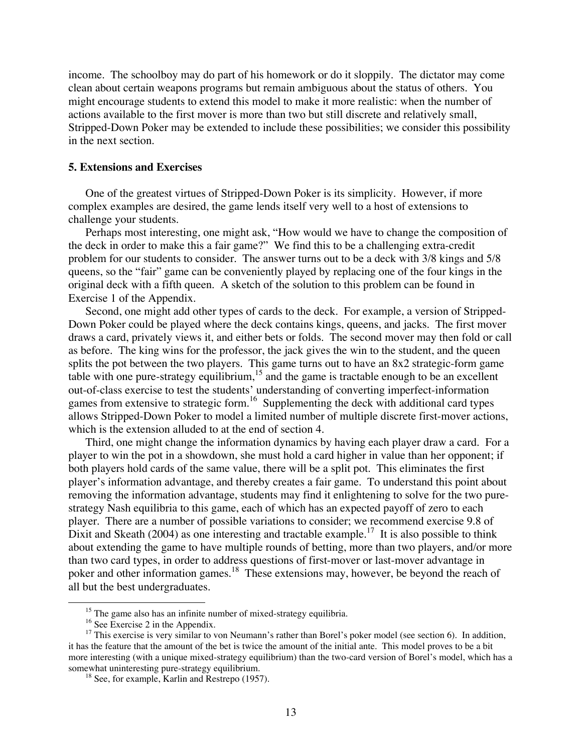income. The schoolboy may do part of his homework or do it sloppily. The dictator may come clean about certain weapons programs but remain ambiguous about the status of others. You might encourage students to extend this model to make it more realistic: when the number of actions available to the first mover is more than two but still discrete and relatively small, Stripped-Down Poker may be extended to include these possibilities; we consider this possibility in the next section.

## **5. Extensions and Exercises**

One of the greatest virtues of Stripped-Down Poker is its simplicity. However, if more complex examples are desired, the game lends itself very well to a host of extensions to challenge your students.

Perhaps most interesting, one might ask, "How would we have to change the composition of the deck in order to make this a fair game?" We find this to be a challenging extra-credit problem for our students to consider. The answer turns out to be a deck with 3/8 kings and 5/8 queens, so the "fair" game can be conveniently played by replacing one of the four kings in the original deck with a fifth queen. A sketch of the solution to this problem can be found in Exercise 1 of the Appendix.

Second, one might add other types of cards to the deck. For example, a version of Stripped-Down Poker could be played where the deck contains kings, queens, and jacks. The first mover draws a card, privately views it, and either bets or folds. The second mover may then fold or call as before. The king wins for the professor, the jack gives the win to the student, and the queen splits the pot between the two players. This game turns out to have an 8x2 strategic-form game table with one pure-strategy equilibrium,<sup>15</sup> and the game is tractable enough to be an excellent out-of-class exercise to test the students' understanding of converting imperfect-information games from extensive to strategic form.<sup>16</sup> Supplementing the deck with additional card types allows Stripped-Down Poker to model a limited number of multiple discrete first-mover actions, which is the extension alluded to at the end of section 4.

Third, one might change the information dynamics by having each player draw a card. For a player to win the pot in a showdown, she must hold a card higher in value than her opponent; if both players hold cards of the same value, there will be a split pot. This eliminates the first player's information advantage, and thereby creates a fair game. To understand this point about removing the information advantage, students may find it enlightening to solve for the two purestrategy Nash equilibria to this game, each of which has an expected payoff of zero to each player. There are a number of possible variations to consider; we recommend exercise 9.8 of Dixit and Skeath (2004) as one interesting and tractable example.<sup>17</sup> It is also possible to think about extending the game to have multiple rounds of betting, more than two players, and/or more than two card types, in order to address questions of first-mover or last-mover advantage in poker and other information games.<sup>18</sup> These extensions may, however, be beyond the reach of all but the best undergraduates.

<sup>&</sup>lt;sup>15</sup> The game also has an infinite number of mixed-strategy equilibria.<br><sup>16</sup> See Exercise 2 in the Appendix.<br><sup>17</sup> This exercise is very similar to von Neumann's rather than Borel's poker model (see section 6). In addition it has the feature that the amount of the bet is twice the amount of the initial ante. This model proves to be a bit more interesting (with a unique mixed-strategy equilibrium) than the two-card version of Borel's model, which has a somewhat uninteresting pure-strategy equilibrium.<br><sup>18</sup> See, for example, Karlin and Restrepo (1957).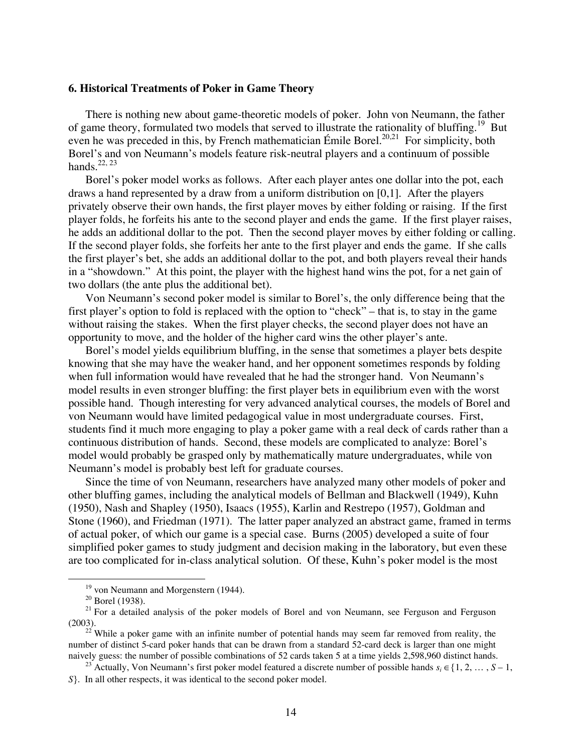## **6. Historical Treatments of Poker in Game Theory**

There is nothing new about game-theoretic models of poker. John von Neumann, the father of game theory, formulated two models that served to illustrate the rationality of bluffing.<sup>19</sup> But even he was preceded in this, by French mathematician Émile Borel.<sup>20,21</sup> For simplicity, both Borel's and von Neumann's models feature risk-neutral players and a continuum of possible hands. $22, 23$ 

Borel's poker model works as follows. After each player antes one dollar into the pot, each draws a hand represented by a draw from a uniform distribution on [0,1]. After the players privately observe their own hands, the first player moves by either folding or raising. If the first player folds, he forfeits his ante to the second player and ends the game. If the first player raises, he adds an additional dollar to the pot. Then the second player moves by either folding or calling. If the second player folds, she forfeits her ante to the first player and ends the game. If she calls the first player's bet, she adds an additional dollar to the pot, and both players reveal their hands in a "showdown." At this point, the player with the highest hand wins the pot, for a net gain of two dollars (the ante plus the additional bet).

Von Neumann's second poker model is similar to Borel's, the only difference being that the first player's option to fold is replaced with the option to "check" – that is, to stay in the game without raising the stakes. When the first player checks, the second player does not have an opportunity to move, and the holder of the higher card wins the other player's ante.

Borel's model yields equilibrium bluffing, in the sense that sometimes a player bets despite knowing that she may have the weaker hand, and her opponent sometimes responds by folding when full information would have revealed that he had the stronger hand. Von Neumann's model results in even stronger bluffing: the first player bets in equilibrium even with the worst possible hand. Though interesting for very advanced analytical courses, the models of Borel and von Neumann would have limited pedagogical value in most undergraduate courses. First, students find it much more engaging to play a poker game with a real deck of cards rather than a continuous distribution of hands. Second, these models are complicated to analyze: Borel's model would probably be grasped only by mathematically mature undergraduates, while von Neumann's model is probably best left for graduate courses.

Since the time of von Neumann, researchers have analyzed many other models of poker and other bluffing games, including the analytical models of Bellman and Blackwell (1949), Kuhn (1950), Nash and Shapley (1950), Isaacs (1955), Karlin and Restrepo (1957), Goldman and Stone (1960), and Friedman (1971). The latter paper analyzed an abstract game, framed in terms of actual poker, of which our game is a special case. Burns (2005) developed a suite of four simplified poker games to study judgment and decision making in the laboratory, but even these are too complicated for in-class analytical solution. Of these, Kuhn's poker model is the most

<sup>&</sup>lt;sup>19</sup> von Neumann and Morgenstern (1944).<br><sup>20</sup> Borel (1938).<br><sup>21</sup> For a detailed analysis of the poker models of Borel and von Neumann, see Ferguson and Ferguson (2003).<br><sup>22</sup> While a poker game with an infinite number of potential hands may seem far removed from reality, the

number of distinct 5-card poker hands that can be drawn from a standard 52-card deck is larger than one might naively guess: the number of possible combinations of 52 cards taken 5 at a time yields 2,598,960 distinct hands.

<sup>&</sup>lt;sup>23</sup> Actually, Von Neumann's first poker model featured a discrete number of possible hands  $s_i \in \{1, 2, ..., S-1,$ *S*}. In all other respects, it was identical to the second poker model.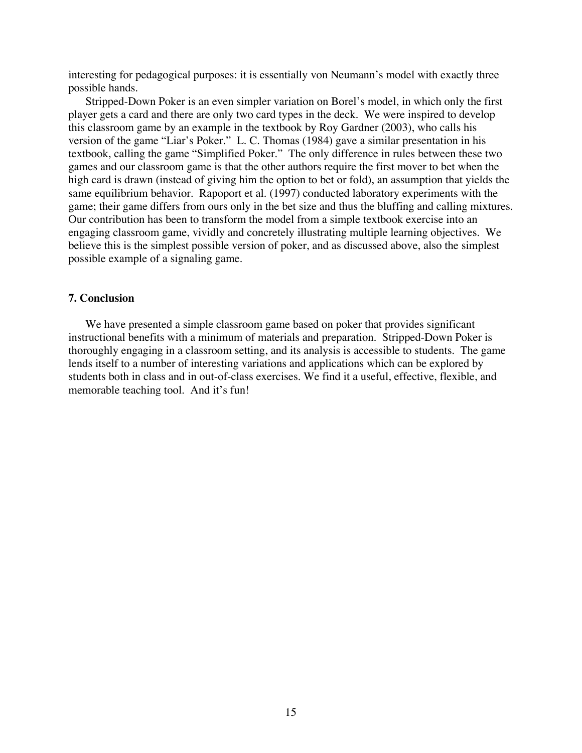interesting for pedagogical purposes: it is essentially von Neumann's model with exactly three possible hands.

Stripped-Down Poker is an even simpler variation on Borel's model, in which only the first player gets a card and there are only two card types in the deck. We were inspired to develop this classroom game by an example in the textbook by Roy Gardner (2003), who calls his version of the game "Liar's Poker." L. C. Thomas (1984) gave a similar presentation in his textbook, calling the game "Simplified Poker." The only difference in rules between these two games and our classroom game is that the other authors require the first mover to bet when the high card is drawn (instead of giving him the option to bet or fold), an assumption that yields the same equilibrium behavior. Rapoport et al. (1997) conducted laboratory experiments with the game; their game differs from ours only in the bet size and thus the bluffing and calling mixtures. Our contribution has been to transform the model from a simple textbook exercise into an engaging classroom game, vividly and concretely illustrating multiple learning objectives. We believe this is the simplest possible version of poker, and as discussed above, also the simplest possible example of a signaling game.

## **7. Conclusion**

We have presented a simple classroom game based on poker that provides significant instructional benefits with a minimum of materials and preparation. Stripped-Down Poker is thoroughly engaging in a classroom setting, and its analysis is accessible to students. The game lends itself to a number of interesting variations and applications which can be explored by students both in class and in out-of-class exercises. We find it a useful, effective, flexible, and memorable teaching tool. And it's fun!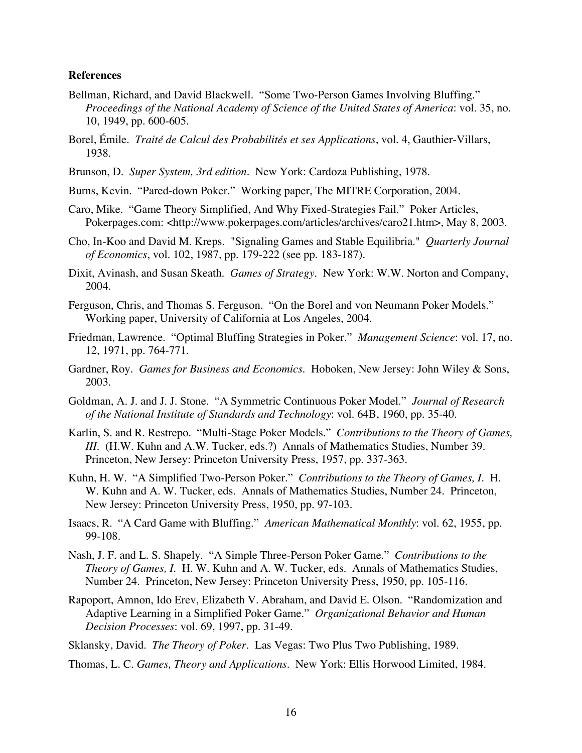#### **References**

- Bellman, Richard, and David Blackwell. "Some Two-Person Games Involving Bluffing." *Proceedings of the National Academy of Science of the United States of America*: vol. 35, no. 10, 1949, pp. 600-605.
- Borel, Émile. *Traité de Calcul des Probabilités et ses Applications*, vol. 4, Gauthier-Villars, 1938.
- Brunson, D. *Super System, 3rd edition*. New York: Cardoza Publishing, 1978.
- Burns, Kevin. "Pared-down Poker." Working paper, The MITRE Corporation, 2004.
- Caro, Mike. "Game Theory Simplified, And Why Fixed-Strategies Fail." Poker Articles, Pokerpages.com: <http://www.pokerpages.com/articles/archives/caro21.htm>, May 8, 2003.
- Cho, In-Koo and David M. Kreps. "Signaling Games and Stable Equilibria." *Quarterly Journal of Economics*, vol. 102, 1987, pp. 179-222 (see pp. 183-187).
- Dixit, Avinash, and Susan Skeath. *Games of Strategy*. New York: W.W. Norton and Company, 2004.
- Ferguson, Chris, and Thomas S. Ferguson. "On the Borel and von Neumann Poker Models." Working paper, University of California at Los Angeles, 2004.
- Friedman, Lawrence. "Optimal Bluffing Strategies in Poker." *Management Science*: vol. 17, no. 12, 1971, pp. 764-771.
- Gardner, Roy. *Games for Business and Economics*. Hoboken, New Jersey: John Wiley & Sons, 2003.
- Goldman, A. J. and J. J. Stone. "A Symmetric Continuous Poker Model." *Journal of Research of the National Institute of Standards and Technology*: vol. 64B, 1960, pp. 35-40.
- Karlin, S. and R. Restrepo. "Multi-Stage Poker Models." *Contributions to the Theory of Games, III*. (H.W. Kuhn and A.W. Tucker, eds.?) Annals of Mathematics Studies, Number 39. Princeton, New Jersey: Princeton University Press, 1957, pp. 337-363.
- Kuhn, H. W. "A Simplified Two-Person Poker." *Contributions to the Theory of Games, I*. H. W. Kuhn and A. W. Tucker, eds. Annals of Mathematics Studies, Number 24. Princeton, New Jersey: Princeton University Press, 1950, pp. 97-103.
- Isaacs, R. "A Card Game with Bluffing." *American Mathematical Monthly*: vol. 62, 1955, pp. 99-108.
- Nash, J. F. and L. S. Shapely. "A Simple Three-Person Poker Game." *Contributions to the Theory of Games, I*. H. W. Kuhn and A. W. Tucker, eds. Annals of Mathematics Studies, Number 24. Princeton, New Jersey: Princeton University Press, 1950, pp. 105-116.
- Rapoport, Amnon, Ido Erev, Elizabeth V. Abraham, and David E. Olson. "Randomization and Adaptive Learning in a Simplified Poker Game." *Organizational Behavior and Human Decision Processes*: vol. 69, 1997, pp. 31-49.
- Sklansky, David. *The Theory of Poker*. Las Vegas: Two Plus Two Publishing, 1989.
- Thomas, L. C. *Games, Theory and Applications*. New York: Ellis Horwood Limited, 1984.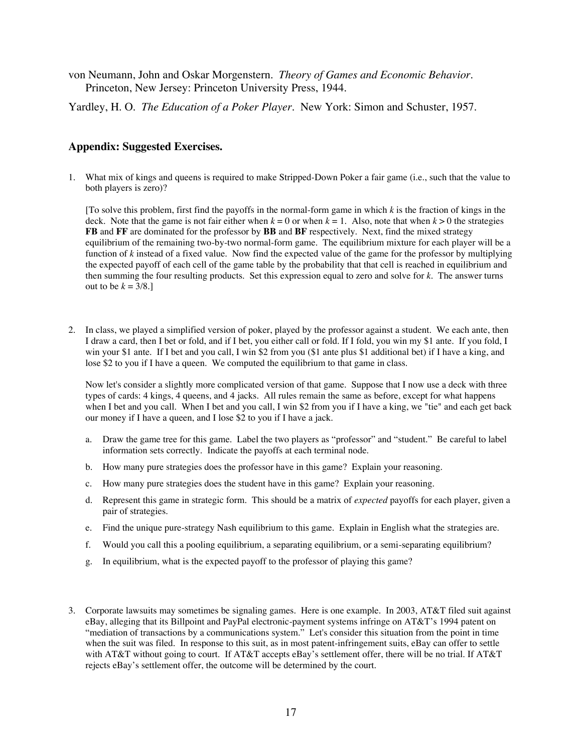- von Neumann, John and Oskar Morgenstern. *Theory of Games and Economic Behavior*. Princeton, New Jersey: Princeton University Press, 1944.
- Yardley, H. O. *The Education of a Poker Player*. New York: Simon and Schuster, 1957.

## **Appendix: Suggested Exercises.**

1. What mix of kings and queens is required to make Stripped-Down Poker a fair game (i.e., such that the value to both players is zero)?

[To solve this problem, first find the payoffs in the normal-form game in which  $k$  is the fraction of kings in the deck. Note that the game is not fair either when  $k = 0$  or when  $k = 1$ . Also, note that when  $k > 0$  the strategies **FB** and **FF** are dominated for the professor by **BB** and **BF** respectively. Next, find the mixed strategy equilibrium of the remaining two-by-two normal-form game. The equilibrium mixture for each player will be a function of *k* instead of a fixed value. Now find the expected value of the game for the professor by multiplying the expected payoff of each cell of the game table by the probability that that cell is reached in equilibrium and then summing the four resulting products. Set this expression equal to zero and solve for *k*. The answer turns out to be  $k = 3/8$ .]

2. In class, we played a simplified version of poker, played by the professor against a student. We each ante, then I draw a card, then I bet or fold, and if I bet, you either call or fold. If I fold, you win my \$1 ante. If you fold, I win your \$1 ante. If I bet and you call, I win \$2 from you (\$1 ante plus \$1 additional bet) if I have a king, and lose \$2 to you if I have a queen. We computed the equilibrium to that game in class.

Now let's consider a slightly more complicated version of that game. Suppose that I now use a deck with three types of cards: 4 kings, 4 queens, and 4 jacks. All rules remain the same as before, except for what happens when I bet and you call. When I bet and you call, I win \$2 from you if I have a king, we "tie" and each get back our money if I have a queen, and I lose \$2 to you if I have a jack.

- a. Draw the game tree for this game. Label the two players as "professor" and "student." Be careful to label information sets correctly. Indicate the payoffs at each terminal node.
- b. How many pure strategies does the professor have in this game? Explain your reasoning.
- c. How many pure strategies does the student have in this game? Explain your reasoning.
- d. Represent this game in strategic form. This should be a matrix of *expected* payoffs for each player, given a pair of strategies.
- e. Find the unique pure-strategy Nash equilibrium to this game. Explain in English what the strategies are.
- f. Would you call this a pooling equilibrium, a separating equilibrium, or a semi-separating equilibrium?
- g. In equilibrium, what is the expected payoff to the professor of playing this game?
- 3. Corporate lawsuits may sometimes be signaling games. Here is one example. In 2003, AT&T filed suit against eBay, alleging that its Billpoint and PayPal electronic-payment systems infringe on AT&T's 1994 patent on "mediation of transactions by a communications system." Let's consider this situation from the point in time when the suit was filed. In response to this suit, as in most patent-infringement suits, eBay can offer to settle with AT&T without going to court. If AT&T accepts eBay's settlement offer, there will be no trial. If AT&T rejects eBay's settlement offer, the outcome will be determined by the court.